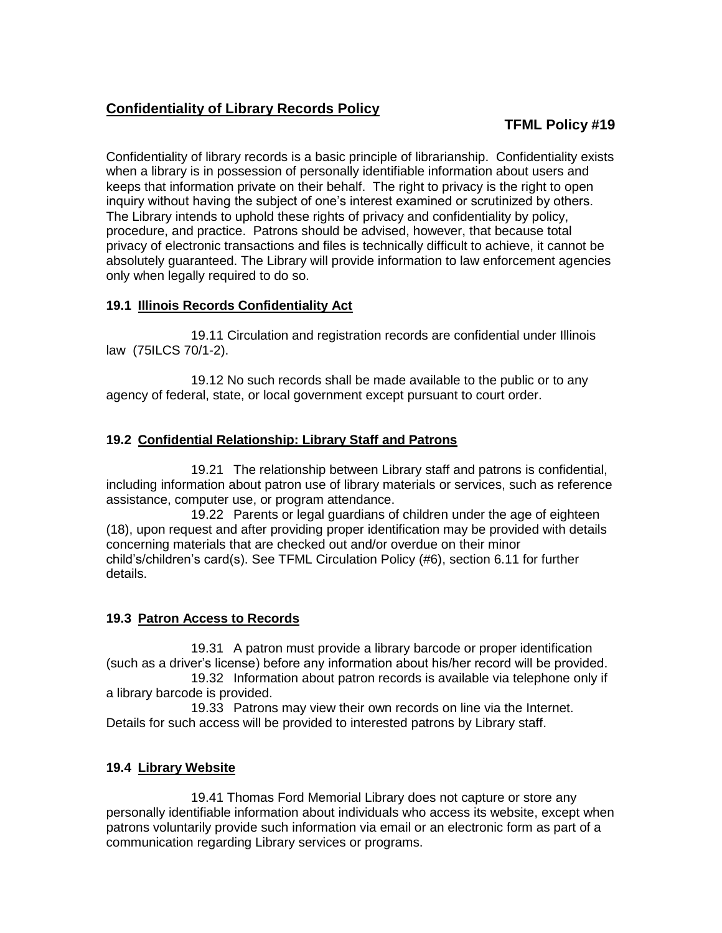# **Confidentiality of Library Records Policy**

# **TFML Policy #19**

Confidentiality of library records is a basic principle of librarianship. Confidentiality exists when a library is in possession of personally identifiable information about users and keeps that information private on their behalf. The right to privacy is the right to open inquiry without having the subject of one's interest examined or scrutinized by others. The Library intends to uphold these rights of privacy and confidentiality by policy, procedure, and practice. Patrons should be advised, however, that because total privacy of electronic transactions and files is technically difficult to achieve, it cannot be absolutely guaranteed. The Library will provide information to law enforcement agencies only when legally required to do so.

### **19.1 Illinois Records Confidentiality Act**

19.11 Circulation and registration records are confidential under Illinois law (75ILCS 70/1-2).

19.12 No such records shall be made available to the public or to any agency of federal, state, or local government except pursuant to court order.

### **19.2 Confidential Relationship: Library Staff and Patrons**

19.21 The relationship between Library staff and patrons is confidential, including information about patron use of library materials or services, such as reference assistance, computer use, or program attendance.

19.22 Parents or legal guardians of children under the age of eighteen (18), upon request and after providing proper identification may be provided with details concerning materials that are checked out and/or overdue on their minor child's/children's card(s). See TFML Circulation Policy (#6), section 6.11 for further details.

## **19.3 Patron Access to Records**

19.31 A patron must provide a library barcode or proper identification (such as a driver's license) before any information about his/her record will be provided.

19.32 Information about patron records is available via telephone only if a library barcode is provided.

19.33 Patrons may view their own records on line via the Internet. Details for such access will be provided to interested patrons by Library staff.

#### **19.4 Library Website**

19.41 Thomas Ford Memorial Library does not capture or store any personally identifiable information about individuals who access its website, except when patrons voluntarily provide such information via email or an electronic form as part of a communication regarding Library services or programs.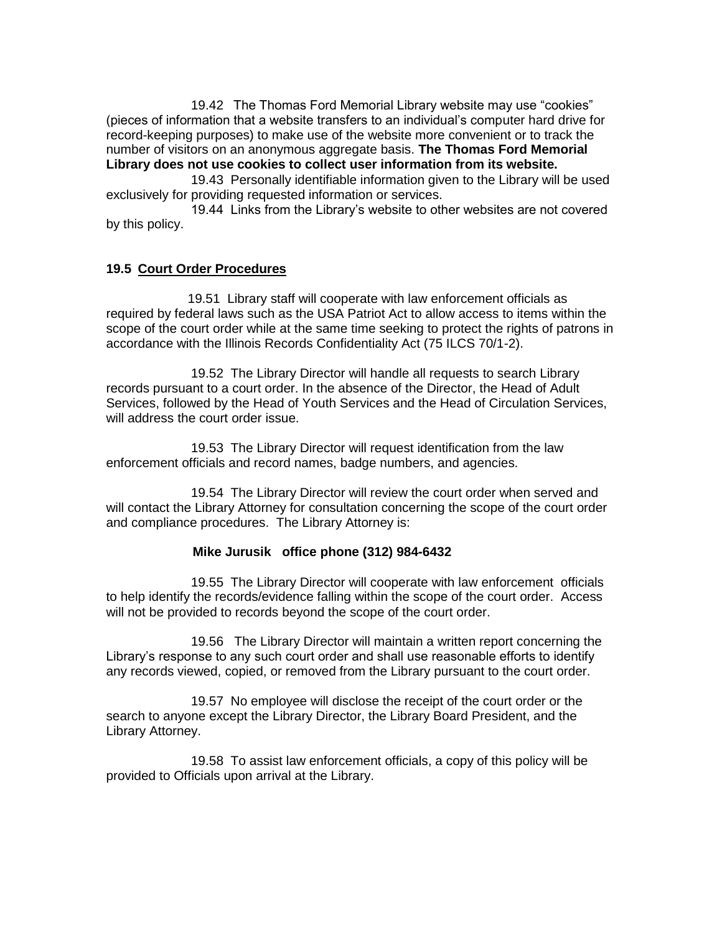19.42 The Thomas Ford Memorial Library website may use "cookies" (pieces of information that a website transfers to an individual's computer hard drive for record-keeping purposes) to make use of the website more convenient or to track the number of visitors on an anonymous aggregate basis. **The Thomas Ford Memorial Library does not use cookies to collect user information from its website.**

19.43 Personally identifiable information given to the Library will be used exclusively for providing requested information or services.

19.44 Links from the Library's website to other websites are not covered by this policy.

#### **19.5 Court Order Procedures**

 19.51 Library staff will cooperate with law enforcement officials as required by federal laws such as the USA Patriot Act to allow access to items within the scope of the court order while at the same time seeking to protect the rights of patrons in accordance with the Illinois Records Confidentiality Act (75 ILCS 70/1-2).

19.52 The Library Director will handle all requests to search Library records pursuant to a court order. In the absence of the Director, the Head of Adult Services, followed by the Head of Youth Services and the Head of Circulation Services, will address the court order issue.

19.53 The Library Director will request identification from the law enforcement officials and record names, badge numbers, and agencies.

19.54 The Library Director will review the court order when served and will contact the Library Attorney for consultation concerning the scope of the court order and compliance procedures. The Library Attorney is:

#### **Mike Jurusik office phone (312) 984-6432**

19.55 The Library Director will cooperate with law enforcement officials to help identify the records/evidence falling within the scope of the court order. Access will not be provided to records beyond the scope of the court order.

19.56 The Library Director will maintain a written report concerning the Library's response to any such court order and shall use reasonable efforts to identify any records viewed, copied, or removed from the Library pursuant to the court order.

19.57 No employee will disclose the receipt of the court order or the search to anyone except the Library Director, the Library Board President, and the Library Attorney.

19.58 To assist law enforcement officials, a copy of this policy will be provided to Officials upon arrival at the Library.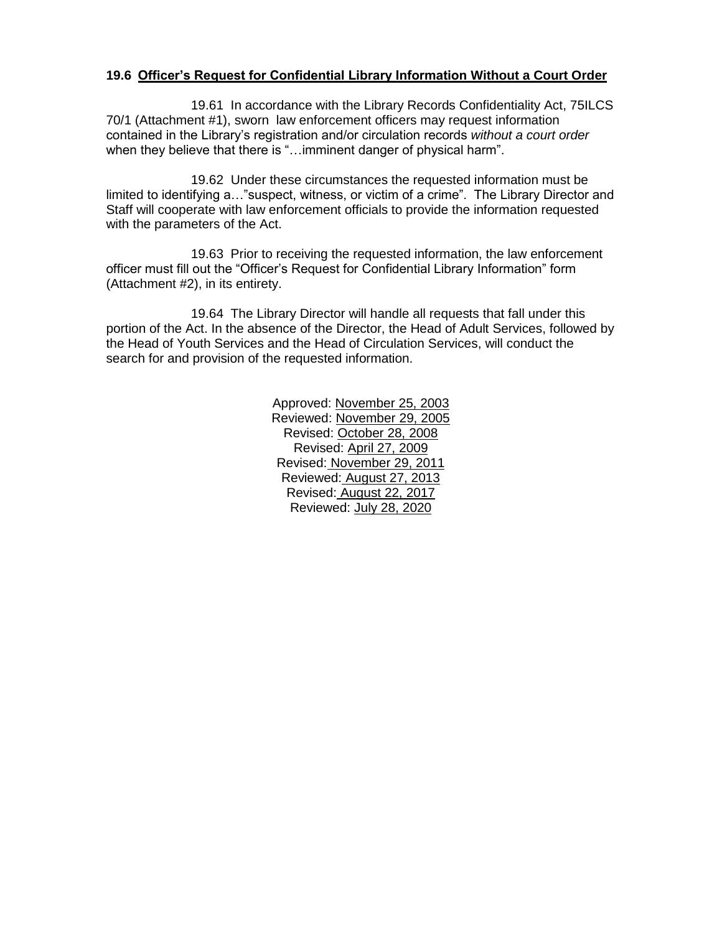#### **19.6 Officer's Request for Confidential Library Information Without a Court Order**

19.61 In accordance with the Library Records Confidentiality Act, 75ILCS 70/1 (Attachment #1), sworn law enforcement officers may request information contained in the Library's registration and/or circulation records *without a court order* when they believe that there is "...imminent danger of physical harm".

19.62 Under these circumstances the requested information must be limited to identifying a…"suspect, witness, or victim of a crime". The Library Director and Staff will cooperate with law enforcement officials to provide the information requested with the parameters of the Act.

19.63 Prior to receiving the requested information, the law enforcement officer must fill out the "Officer's Request for Confidential Library Information" form (Attachment #2), in its entirety.

19.64 The Library Director will handle all requests that fall under this portion of the Act. In the absence of the Director, the Head of Adult Services, followed by the Head of Youth Services and the Head of Circulation Services, will conduct the search for and provision of the requested information.

> Approved: November 25, 2003 Reviewed: November 29, 2005 Revised: October 28, 2008 Revised: April 27, 2009 Revised: November 29, 2011 Reviewed: August 27, 2013 Revised: August 22, 2017 Reviewed: July 28, 2020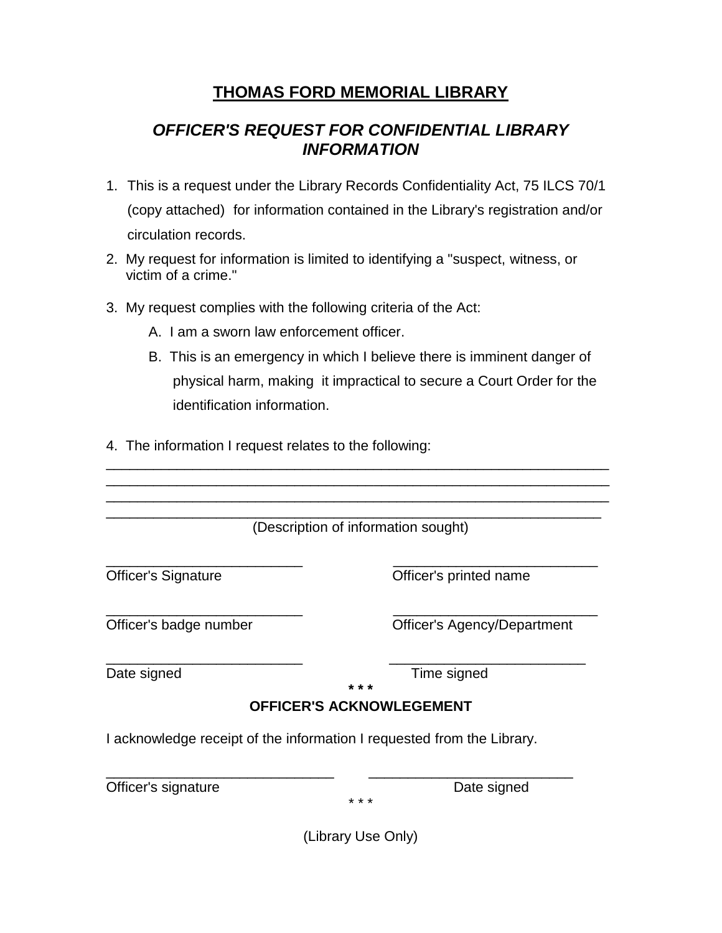# **THOMAS FORD MEMORIAL LIBRARY**

# *OFFICER'S REQUEST FOR CONFIDENTIAL LIBRARY INFORMATION*

- 1. This is a request under the Library Records Confidentiality Act, 75 ILCS 70/1 (copy attached) for information contained in the Library's registration and/or circulation records.
- 2. My request for information is limited to identifying a "suspect, witness, or victim of a crime."
- 3. My request complies with the following criteria of the Act:
	- A. I am a sworn law enforcement officer.
	- B. This is an emergency in which I believe there is imminent danger of physical harm, making it impractical to secure a Court Order for the identification information.

\_\_\_\_\_\_\_\_\_\_\_\_\_\_\_\_\_\_\_\_\_\_\_\_\_\_\_\_\_\_\_\_\_\_\_\_\_\_\_\_\_\_\_\_\_\_\_\_\_\_\_\_\_\_\_\_\_\_\_\_\_\_\_\_

4. The information I request relates to the following:

| (Description of information sought) |                                                                        |
|-------------------------------------|------------------------------------------------------------------------|
| <b>Officer's Signature</b>          | Officer's printed name                                                 |
| Officer's badge number              | <b>Officer's Agency/Department</b>                                     |
| Date signed                         | Time signed<br>* * *                                                   |
|                                     | <b>OFFICER'S ACKNOWLEGEMENT</b>                                        |
|                                     | I acknowledge receipt of the information I requested from the Library. |
| Officer's signature                 | Date signed<br>* * *                                                   |

(Library Use Only)